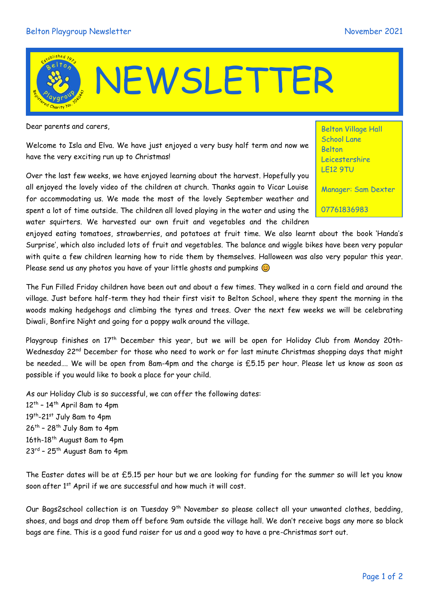

Dear parents and carers,

Welcome to Isla and Elva. We have just enjoyed a very busy half term and now we have the very exciting run up to Christmas!

Over the last few weeks, we have enjoyed learning about the harvest. Hopefully you all enjoyed the lovely video of the children at church. Thanks again to Vicar Louise for accommodating us. We made the most of the lovely September weather and spent a lot of time outside. The children all loved playing in the water and using the water squirters. We harvested our own fruit and vegetables and the children

enjoyed eating tomatoes, strawberries, and potatoes at fruit time. We also learnt about the book 'Handa's Surprise', which also included lots of fruit and vegetables. The balance and wiggle bikes have been very popular with quite a few children learning how to ride them by themselves. Halloween was also very popular this year. Please send us any photos you have of your little ghosts and pumpkins  $\odot$ 

The Fun Filled Friday children have been out and about a few times. They walked in a corn field and around the village. Just before half-term they had their first visit to Belton School, where they spent the morning in the woods making hedgehogs and climbing the tyres and trees. Over the next few weeks we will be celebrating Diwali, Bonfire Night and going for a poppy walk around the village.

Playgroup finishes on 17<sup>th</sup> December this year, but we will be open for Holiday Club from Monday 20th-Wednesday 22<sup>nd</sup> December for those who need to work or for last minute Christmas shopping days that might be needed…. We will be open from 8am-4pm and the charge is £5.15 per hour. Please let us know as soon as possible if you would like to book a place for your child.

As our Holiday Club is so successful, we can offer the following dates:  $12^{\text{th}}$  –  $14^{\text{th}}$  April 8am to 4pm 19<sup>th</sup>-21<sup>st</sup> July 8am to 4pm 26<sup>th</sup> - 28<sup>th</sup> July 8am to 4pm 16th-18<sup>th</sup> August 8am to 4pm 23<sup>rd</sup> - 25<sup>th</sup> August 8am to 4pm

The Easter dates will be at £5.15 per hour but we are looking for funding for the summer so will let you know soon after 1<sup>st</sup> April if we are successful and how much it will cost.

Our Bags2school collection is on Tuesday 9<sup>th</sup> November so please collect all your unwanted clothes, bedding, shoes, and bags and drop them off before 9am outside the village hall. We don't receive bags any more so black bags are fine. This is a good fund raiser for us and a good way to have a pre-Christmas sort out.

Belton Village Hall School Lane Belton Leicestershire LE12 9TU

Manager: Sam Dexter

07761836983